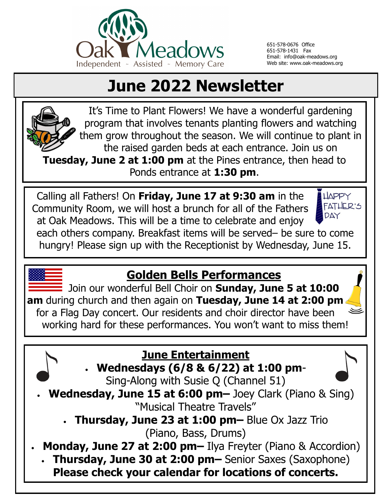

651-578-0676 Office 651-578-1431 Fax Email: info@oak-meadows.org Web site: www.oak-meadows.org

# **June 2022 Newsletter**



It's Time to Plant Flowers! We have a wonderful gardening program that involves tenants planting flowers and watching them grow throughout the season. We will continue to plant in the raised garden beds at each entrance. Join us on **Tuesday, June 2 at 1:00 pm** at the Pines entrance, then head to Ponds entrance at **1:30 pm**.

Calling all Fathers! On **Friday, June 17 at 9:30 am** in the **HAPPY** FATHER'S Community Room, we will host a brunch for all of the Fathers DAY at Oak Meadows. This will be a time to celebrate and enjoy each others company. Breakfast items will be served– be sure to come hungry! Please sign up with the Receptionist by Wednesday, June 15.

#### **Golden Bells Performances**

Join our wonderful Bell Choir on **Sunday, June 5 at 10:00 am** during church and then again on **Tuesday, June 14 at 2:00 pm**  for a Flag Day concert. Our residents and choir director have been working hard for these performances. You won't want to miss them!

#### **June Entertainment**

**Wednesdays (6/8 & 6/22) at 1:00 pm**-

Sing-Along with Susie Q (Channel 51)

 **Wednesday, June 15 at 6:00 pm–** Joey Clark (Piano & Sing) "Musical Theatre Travels"

 **Thursday, June 23 at 1:00 pm–** Blue Ox Jazz Trio (Piano, Bass, Drums)

**Monday, June 27 at 2:00 pm–** Ilya Freyter (Piano & Accordion)

 **Thursday, June 30 at 2:00 pm–** Senior Saxes (Saxophone) **Please check your calendar for locations of concerts.**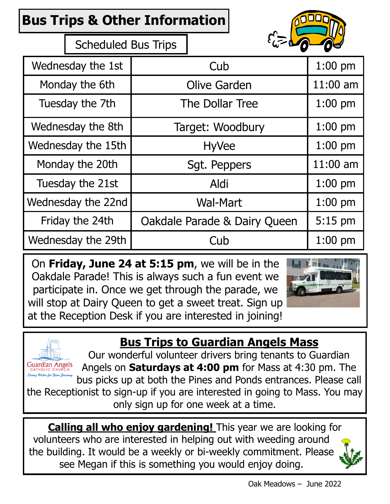## **Bus Trips & Other Information**



Scheduled Bus Trips

| Wednesday the 1st  | Cub                          | $1:00$ pm  |
|--------------------|------------------------------|------------|
| Monday the 6th     | <b>Olive Garden</b>          | $11:00$ am |
| Tuesday the 7th    | The Dollar Tree              | $1:00$ pm  |
| Wednesday the 8th  | Target: Woodbury             | $1:00$ pm  |
| Wednesday the 15th | <b>HyVee</b>                 | $1:00$ pm  |
| Monday the 20th    | Sgt. Peppers                 | $11:00$ am |
| Tuesday the 21st   | Aldi                         | $1:00$ pm  |
| Wednesday the 22nd | <b>Wal-Mart</b>              | $1:00$ pm  |
| Friday the 24th    | Oakdale Parade & Dairy Queen | 5:15 pm    |
| Wednesday the 29th | Cub                          | $1:00$ pm  |

On **Friday, June 24 at 5:15 pm**, we will be in the Oakdale Parade! This is always such a fun event we participate in. Once we get through the parade, we will stop at Dairy Queen to get a sweet treat. Sign up at the Reception Desk if you are interested in joining!



#### **Bus Trips to Guardian Angels Mass**



Our wonderful volunteer drivers bring tenants to Guardian Angels on **Saturdays at 4:00 pm** for Mass at 4:30 pm. The bus picks up at both the Pines and Ponds entrances. Please call the Receptionist to sign-up if you are interested in going to Mass. You may

only sign up for one week at a time.

**Calling all who enjoy gardening!** This year we are looking for volunteers who are interested in helping out with weeding around the building. It would be a weekly or bi-weekly commitment. Please see Megan if this is something you would enjoy doing.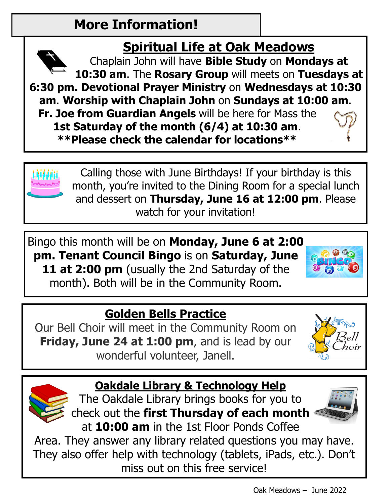## **More Information!**

## **Spiritual Life at Oak Meadows**

Chaplain John will have **Bible Study** on **Mondays at 10:30 am**. The **Rosary Group** will meets on **Tuesdays at 6:30 pm. Devotional Prayer Ministry** on **Wednesdays at 10:30 am**. **Worship with Chaplain John** on **Sundays at 10:00 am**. **Fr. Joe from Guardian Angels** will be here for Mass the **1st Saturday of the month (6/4) at 10:30 am**.

**\*\*Please check the calendar for locations\*\*** 



Calling those with June Birthdays! If your birthday is this month, you're invited to the Dining Room for a special lunch and dessert on **Thursday, June 16 at 12:00 pm**. Please watch for your invitation!

Bingo this month will be on **Monday, June 6 at 2:00 pm. Tenant Council Bingo** is on **Saturday, June**  11 at 2:00 pm (usually the 2nd Saturday of the month). Both will be in the Community Room.

## **Golden Bells Practice**

Our Bell Choir will meet in the Community Room on **Friday, June 24 at 1:00 pm, and is lead by our** wonderful volunteer, Janell.



## **Oakdale Library & Technology Help**

The Oakdale Library brings books for you to check out the **first Thursday of each month** at **10:00 am** in the 1st Floor Ponds Coffee



Area. They answer any library related questions you may have. They also offer help with technology (tablets, iPads, etc.). Don't miss out on this free service!